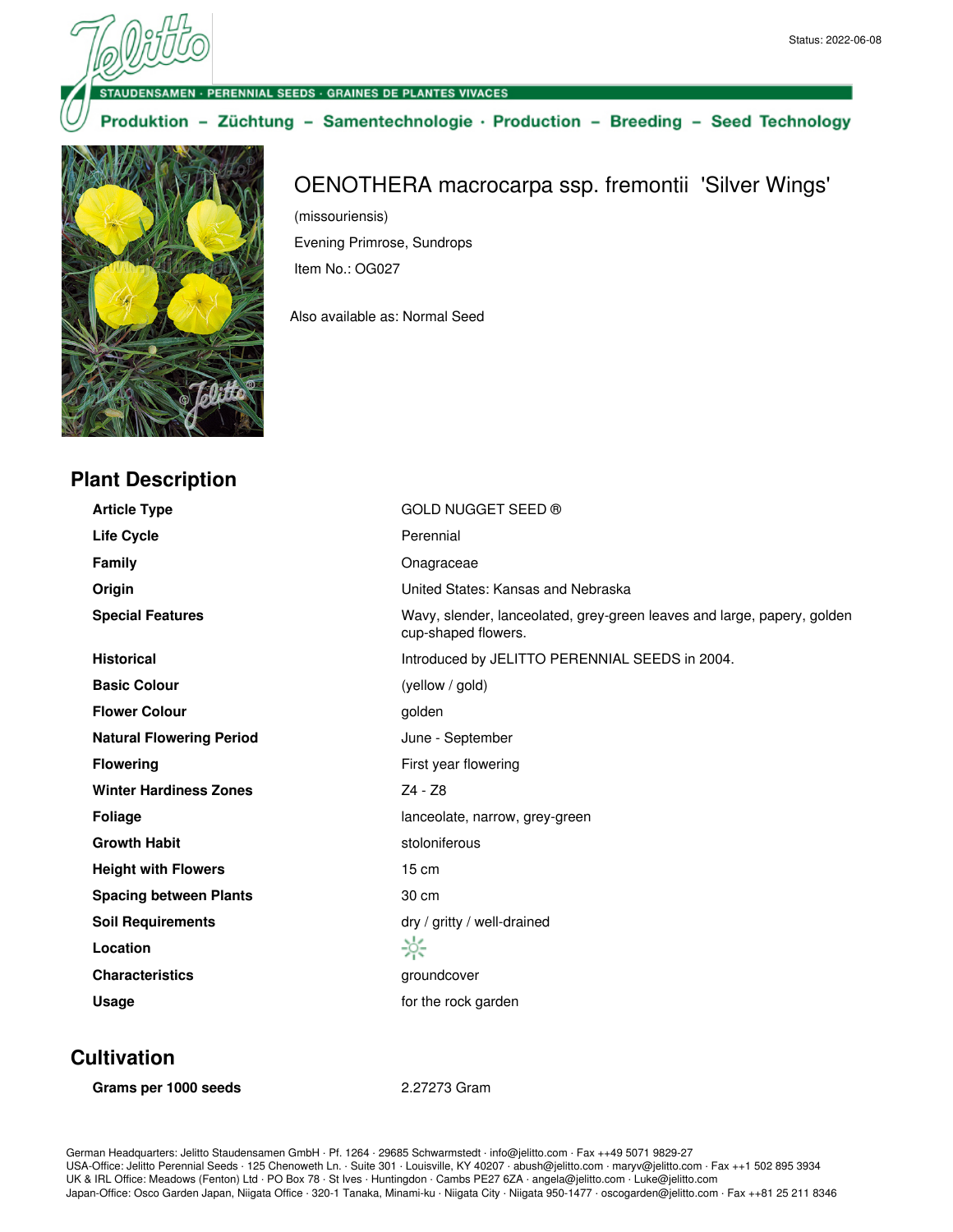#### · PERENNIAL SEEDS · GRAINES DE PLANTES VIVACES

#### Produktion - Züchtung - Samentechnologie · Production - Breeding - Seed Technology



**Plant Description**

# OENOTHERA macrocarpa ssp. fremontii 'Silver Wings'

(missouriensis) Evening Primrose, Sundrops Item No.: OG027

Also available as: Normal Seed

| <b>Article Type</b>             | GOLD NUGGET SEED ®                                                                             |
|---------------------------------|------------------------------------------------------------------------------------------------|
| <b>Life Cycle</b>               | Perennial                                                                                      |
| <b>Family</b>                   | Onagraceae                                                                                     |
| Origin                          | United States: Kansas and Nebraska                                                             |
| <b>Special Features</b>         | Wavy, slender, lanceolated, grey-green leaves and large, papery, golden<br>cup-shaped flowers. |
| <b>Historical</b>               | Introduced by JELITTO PERENNIAL SEEDS in 2004.                                                 |
| <b>Basic Colour</b>             | (yellow / gold)                                                                                |
| <b>Flower Colour</b>            | golden                                                                                         |
| <b>Natural Flowering Period</b> | June - September                                                                               |
| <b>Flowering</b>                | First year flowering                                                                           |
| <b>Winter Hardiness Zones</b>   | $Z4 - Z8$                                                                                      |
| <b>Foliage</b>                  | lanceolate, narrow, grey-green                                                                 |
| <b>Growth Habit</b>             | stoloniferous                                                                                  |
| <b>Height with Flowers</b>      | $15 \text{ cm}$                                                                                |
| <b>Spacing between Plants</b>   | 30 cm                                                                                          |
| <b>Soil Requirements</b>        | dry / gritty / well-drained                                                                    |
| Location                        | ☆                                                                                              |
| <b>Characteristics</b>          | groundcover                                                                                    |
| Usage                           | for the rock garden                                                                            |
|                                 |                                                                                                |

### **Cultivation**

**Grams per 1000 seeds** 2.27273 Gram